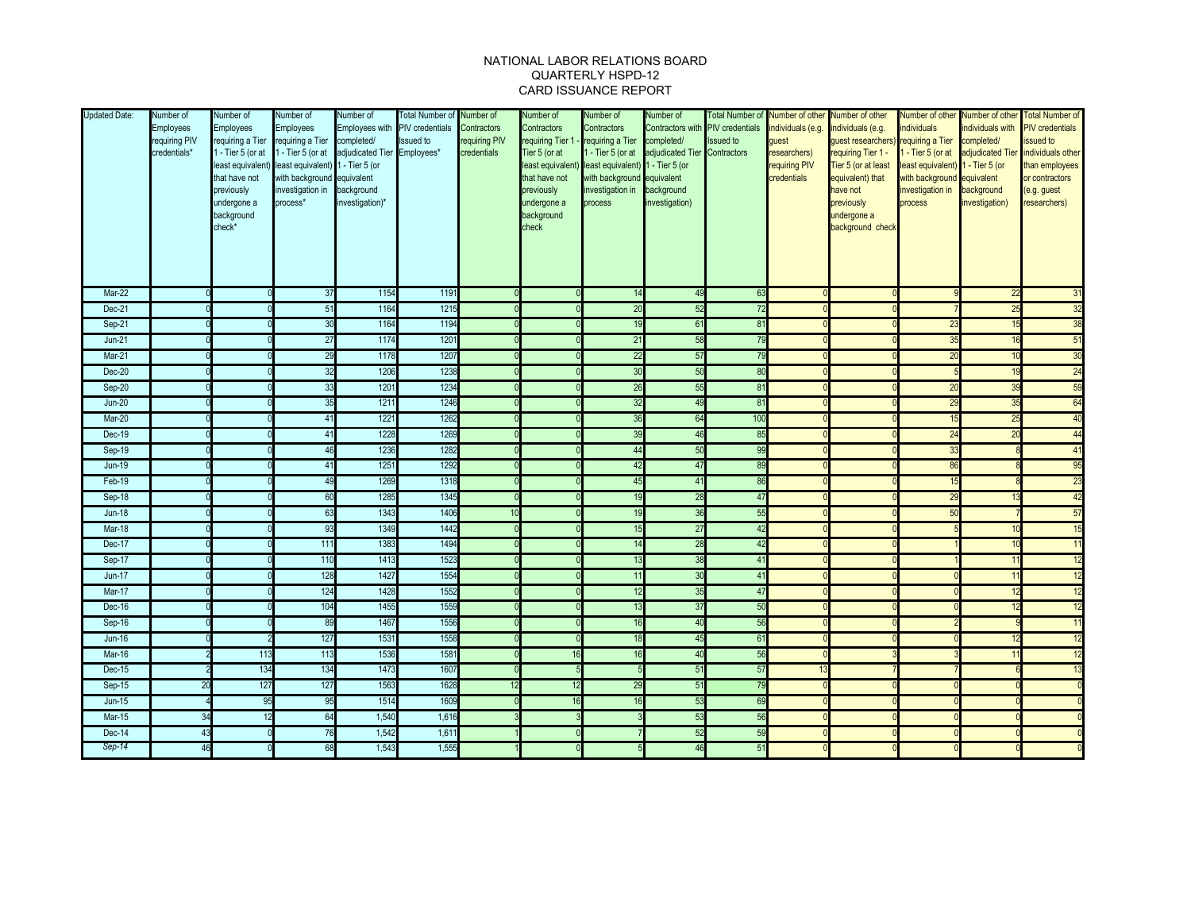## NATIONAL LABOR RELATIONS BOARD QUARTERLY HSPD-12 CARD ISSUANCE REPORT

| <b>Updated Date:</b> | Number of<br>Employees<br>requiring PIV<br>credentials* | Number of<br><b>Employees</b><br>1 - Tier 5 (or at<br>that have not<br>previously<br>undergone a<br>background<br>check* | Number of<br><b>Employees</b><br>requiring a Tier requiring a Tier completed/<br>1 - Tier 5 (or at<br>least equivalent) least equivalent) 1 - Tier 5 (or<br>with background equivalent<br>investigation in background<br>process* | Number of<br>Employees with PIV credentials<br>adjudicated Tier<br>investigation)* | <b>Total Number of</b><br><b>Issued</b> to<br>Employees* | Number of<br>Contractors<br>requiring PIV<br>credentials | Number of<br>Contractors<br>requiring Tier 1<br>Tier 5 (or at<br>that have not<br>previously<br>undergone a<br>background<br>check | Number of<br>Contractors<br>- requiring a Tier completed/<br>- Tier 5 (or at<br>least equivalent) least equivalent) 1 - Tier 5 (or<br>with background equivalent<br>investigation in background<br>process | Number of<br>adjudicated Tier Contractors<br>investigation) | Contractors with PIV credentials<br><b>Issued to</b> | Total Number of Number of other Number of other<br>individuals (e.g.<br>guest<br>researchers)<br>requiring PIV<br>credentials | individuals (e.g.<br>quest researchers) requiring a Tier<br>requiring Tier 1 -<br>Tier 5 (or at least<br>equivalent) that<br>have not<br>previously<br>undergone a<br>background check | Number of other<br>ndividuals<br>- Tier 5 (or at<br>least equivalent)<br>with background<br>investigation in<br>process | ndividuals with<br>completed/<br>1 - Tier 5 (or<br>equivalent<br>background<br>investigation) | Number of other Total Number of<br><b>PIV</b> credentials<br>issued to<br>adjudicated Tier individuals other<br>than employees<br>or contractors<br>(e.g. guest<br>researchers) |
|----------------------|---------------------------------------------------------|--------------------------------------------------------------------------------------------------------------------------|-----------------------------------------------------------------------------------------------------------------------------------------------------------------------------------------------------------------------------------|------------------------------------------------------------------------------------|----------------------------------------------------------|----------------------------------------------------------|------------------------------------------------------------------------------------------------------------------------------------|------------------------------------------------------------------------------------------------------------------------------------------------------------------------------------------------------------|-------------------------------------------------------------|------------------------------------------------------|-------------------------------------------------------------------------------------------------------------------------------|----------------------------------------------------------------------------------------------------------------------------------------------------------------------------------------|-------------------------------------------------------------------------------------------------------------------------|-----------------------------------------------------------------------------------------------|---------------------------------------------------------------------------------------------------------------------------------------------------------------------------------|
| $Mar-22$             |                                                         |                                                                                                                          | 37                                                                                                                                                                                                                                | 1154                                                                               | 1191                                                     |                                                          |                                                                                                                                    | 14                                                                                                                                                                                                         | 49                                                          | 63                                                   |                                                                                                                               |                                                                                                                                                                                        |                                                                                                                         | 22                                                                                            | 31                                                                                                                                                                              |
| Dec-21               |                                                         |                                                                                                                          | 51                                                                                                                                                                                                                                | 1164                                                                               | 1215                                                     |                                                          |                                                                                                                                    | 20                                                                                                                                                                                                         | 52                                                          | 72                                                   |                                                                                                                               |                                                                                                                                                                                        |                                                                                                                         | 25                                                                                            | 32                                                                                                                                                                              |
| Sep-21               |                                                         |                                                                                                                          | 30                                                                                                                                                                                                                                | 1164                                                                               | 1194                                                     |                                                          |                                                                                                                                    | 19                                                                                                                                                                                                         | 61                                                          | 81                                                   |                                                                                                                               |                                                                                                                                                                                        | 23                                                                                                                      | 15                                                                                            | 38                                                                                                                                                                              |
| $Jun-21$             |                                                         |                                                                                                                          | 27                                                                                                                                                                                                                                | 1174                                                                               | 1201                                                     |                                                          |                                                                                                                                    | 21                                                                                                                                                                                                         | 58                                                          | 79                                                   |                                                                                                                               |                                                                                                                                                                                        | 35                                                                                                                      | 16                                                                                            | 51                                                                                                                                                                              |
| Mar-21               |                                                         |                                                                                                                          | 29                                                                                                                                                                                                                                | 1178                                                                               | 1207                                                     |                                                          |                                                                                                                                    | $\overline{22}$                                                                                                                                                                                            | 57                                                          | 79                                                   |                                                                                                                               |                                                                                                                                                                                        | 20                                                                                                                      | 10                                                                                            | 30                                                                                                                                                                              |
| $Dec-20$             |                                                         |                                                                                                                          | 32                                                                                                                                                                                                                                | 1206                                                                               | 1238                                                     |                                                          |                                                                                                                                    | 30                                                                                                                                                                                                         | 50                                                          | 8 <sup>o</sup>                                       |                                                                                                                               |                                                                                                                                                                                        |                                                                                                                         |                                                                                               | 24                                                                                                                                                                              |
| Sep-20               |                                                         |                                                                                                                          | 33                                                                                                                                                                                                                                | 1201                                                                               | 1234                                                     |                                                          |                                                                                                                                    | 26                                                                                                                                                                                                         | 55                                                          | $\overline{8}$                                       |                                                                                                                               |                                                                                                                                                                                        | 20                                                                                                                      | 39                                                                                            | 59                                                                                                                                                                              |
| $Jun-20$             |                                                         |                                                                                                                          | 35                                                                                                                                                                                                                                | 1211                                                                               | 1246                                                     |                                                          |                                                                                                                                    | 32                                                                                                                                                                                                         | 49                                                          | 8 <sup>′</sup>                                       |                                                                                                                               |                                                                                                                                                                                        | 29                                                                                                                      | 35                                                                                            | 64                                                                                                                                                                              |
| Mar-20               |                                                         |                                                                                                                          | 41                                                                                                                                                                                                                                | 1221                                                                               | 1262                                                     |                                                          |                                                                                                                                    | 36                                                                                                                                                                                                         | 64                                                          | 100                                                  |                                                                                                                               |                                                                                                                                                                                        | 15                                                                                                                      | 25                                                                                            | 40                                                                                                                                                                              |
| Dec-19               |                                                         |                                                                                                                          | 41                                                                                                                                                                                                                                | 1228                                                                               | 1269                                                     |                                                          |                                                                                                                                    | 39                                                                                                                                                                                                         | 46                                                          | 85                                                   |                                                                                                                               |                                                                                                                                                                                        | 24                                                                                                                      | 20                                                                                            | 44                                                                                                                                                                              |
| Sep-19               |                                                         |                                                                                                                          | 46                                                                                                                                                                                                                                | 1236                                                                               | 1282                                                     |                                                          |                                                                                                                                    | 44                                                                                                                                                                                                         | 50                                                          | 99                                                   |                                                                                                                               |                                                                                                                                                                                        | 33                                                                                                                      |                                                                                               | 41                                                                                                                                                                              |
| $Jun-19$             |                                                         |                                                                                                                          | 41                                                                                                                                                                                                                                | 1251                                                                               | 1292                                                     |                                                          |                                                                                                                                    | 42                                                                                                                                                                                                         | 47                                                          | 89                                                   |                                                                                                                               |                                                                                                                                                                                        | 86                                                                                                                      |                                                                                               | 95                                                                                                                                                                              |
| $Feb-19$             |                                                         |                                                                                                                          | 49                                                                                                                                                                                                                                | 1269                                                                               | 1318                                                     |                                                          |                                                                                                                                    | 45                                                                                                                                                                                                         | 41                                                          | 86                                                   |                                                                                                                               |                                                                                                                                                                                        | 15                                                                                                                      |                                                                                               | 23                                                                                                                                                                              |
| Sep-18               |                                                         |                                                                                                                          | 60                                                                                                                                                                                                                                | 1285                                                                               | 1345                                                     | $\Omega$                                                 |                                                                                                                                    | 19                                                                                                                                                                                                         | 28                                                          | 47                                                   |                                                                                                                               |                                                                                                                                                                                        | 29                                                                                                                      |                                                                                               | 42                                                                                                                                                                              |
| $Jun-18$             |                                                         |                                                                                                                          | 63                                                                                                                                                                                                                                | 1343                                                                               | 1406                                                     | 10                                                       |                                                                                                                                    | 19                                                                                                                                                                                                         | 36                                                          | 55                                                   |                                                                                                                               |                                                                                                                                                                                        | 50                                                                                                                      |                                                                                               | 57                                                                                                                                                                              |
| Mar-18               |                                                         |                                                                                                                          | 93                                                                                                                                                                                                                                | 1349                                                                               | 1442                                                     |                                                          |                                                                                                                                    | 15                                                                                                                                                                                                         | 27                                                          | 42                                                   |                                                                                                                               |                                                                                                                                                                                        |                                                                                                                         | 10                                                                                            | 15                                                                                                                                                                              |
| Dec-17               |                                                         |                                                                                                                          | 111                                                                                                                                                                                                                               | 1383                                                                               | 1494                                                     |                                                          |                                                                                                                                    | 14                                                                                                                                                                                                         | 28                                                          | 42                                                   |                                                                                                                               |                                                                                                                                                                                        |                                                                                                                         |                                                                                               | 11                                                                                                                                                                              |
| Sep-17               |                                                         |                                                                                                                          | 110                                                                                                                                                                                                                               | 1413                                                                               | 1523                                                     |                                                          |                                                                                                                                    | 13                                                                                                                                                                                                         | 38                                                          | 4 <sup>7</sup>                                       |                                                                                                                               |                                                                                                                                                                                        |                                                                                                                         |                                                                                               | 12                                                                                                                                                                              |
| $Jun-17$             |                                                         |                                                                                                                          | 128                                                                                                                                                                                                                               | 1427                                                                               | 1554                                                     |                                                          |                                                                                                                                    | 11                                                                                                                                                                                                         | 30                                                          | 41                                                   |                                                                                                                               |                                                                                                                                                                                        |                                                                                                                         | 11                                                                                            | 12                                                                                                                                                                              |
| Mar-17               |                                                         |                                                                                                                          | 124                                                                                                                                                                                                                               | 1428                                                                               | 1552                                                     |                                                          |                                                                                                                                    | 12                                                                                                                                                                                                         | 35                                                          | 47                                                   |                                                                                                                               |                                                                                                                                                                                        |                                                                                                                         | 12                                                                                            | 12                                                                                                                                                                              |
| Dec-16               |                                                         |                                                                                                                          | 104                                                                                                                                                                                                                               | 1455                                                                               | 1559                                                     |                                                          |                                                                                                                                    | 13                                                                                                                                                                                                         | 37                                                          | 5 <sub>0</sub>                                       |                                                                                                                               |                                                                                                                                                                                        |                                                                                                                         | 12                                                                                            | 12                                                                                                                                                                              |
| Sep-16               |                                                         |                                                                                                                          | 89                                                                                                                                                                                                                                | 1467                                                                               | 1556                                                     |                                                          |                                                                                                                                    | 16                                                                                                                                                                                                         | 40                                                          | 56                                                   |                                                                                                                               |                                                                                                                                                                                        |                                                                                                                         |                                                                                               | 11                                                                                                                                                                              |
| <b>Jun-16</b>        |                                                         |                                                                                                                          | 127                                                                                                                                                                                                                               | 1531                                                                               | 1558                                                     |                                                          |                                                                                                                                    | 18                                                                                                                                                                                                         | 45                                                          | 6 <sup>7</sup>                                       |                                                                                                                               |                                                                                                                                                                                        |                                                                                                                         |                                                                                               | 12                                                                                                                                                                              |
| Mar-16               |                                                         | 113                                                                                                                      | 113                                                                                                                                                                                                                               | 1536                                                                               | 1581                                                     |                                                          | 16                                                                                                                                 | 16                                                                                                                                                                                                         | 40                                                          | 56                                                   |                                                                                                                               |                                                                                                                                                                                        |                                                                                                                         | 11                                                                                            | 12                                                                                                                                                                              |
| Dec-15               |                                                         | 134                                                                                                                      | 134                                                                                                                                                                                                                               | 1473                                                                               | 1607                                                     | n                                                        |                                                                                                                                    |                                                                                                                                                                                                            | 51                                                          | 57                                                   |                                                                                                                               |                                                                                                                                                                                        |                                                                                                                         |                                                                                               | 13                                                                                                                                                                              |
| Sep-15               | 20                                                      | 127                                                                                                                      | 127                                                                                                                                                                                                                               | 1563                                                                               | 1628                                                     | 12                                                       |                                                                                                                                    | 29                                                                                                                                                                                                         | 51                                                          | 79                                                   |                                                                                                                               |                                                                                                                                                                                        |                                                                                                                         |                                                                                               | $\Omega$                                                                                                                                                                        |
| <b>Jun-15</b>        |                                                         | 95                                                                                                                       | 95                                                                                                                                                                                                                                | 1514                                                                               | 1609                                                     |                                                          | 16                                                                                                                                 | 16                                                                                                                                                                                                         | 53                                                          | 69                                                   |                                                                                                                               |                                                                                                                                                                                        |                                                                                                                         |                                                                                               | $\Omega$                                                                                                                                                                        |
| <b>Mar-15</b>        | 34                                                      | 12                                                                                                                       | 64                                                                                                                                                                                                                                | 1,540                                                                              | 1,616                                                    |                                                          |                                                                                                                                    |                                                                                                                                                                                                            | 53                                                          | 56                                                   |                                                                                                                               |                                                                                                                                                                                        |                                                                                                                         |                                                                                               |                                                                                                                                                                                 |
| Dec-14               | 43                                                      |                                                                                                                          | 76                                                                                                                                                                                                                                | 1,542                                                                              | 1,61                                                     |                                                          |                                                                                                                                    |                                                                                                                                                                                                            | 52                                                          | 55                                                   |                                                                                                                               |                                                                                                                                                                                        |                                                                                                                         |                                                                                               |                                                                                                                                                                                 |
| Sep-14               | 46                                                      |                                                                                                                          | 68                                                                                                                                                                                                                                | 1,543                                                                              | 1,555                                                    |                                                          |                                                                                                                                    |                                                                                                                                                                                                            | 46                                                          | 51                                                   |                                                                                                                               |                                                                                                                                                                                        |                                                                                                                         |                                                                                               |                                                                                                                                                                                 |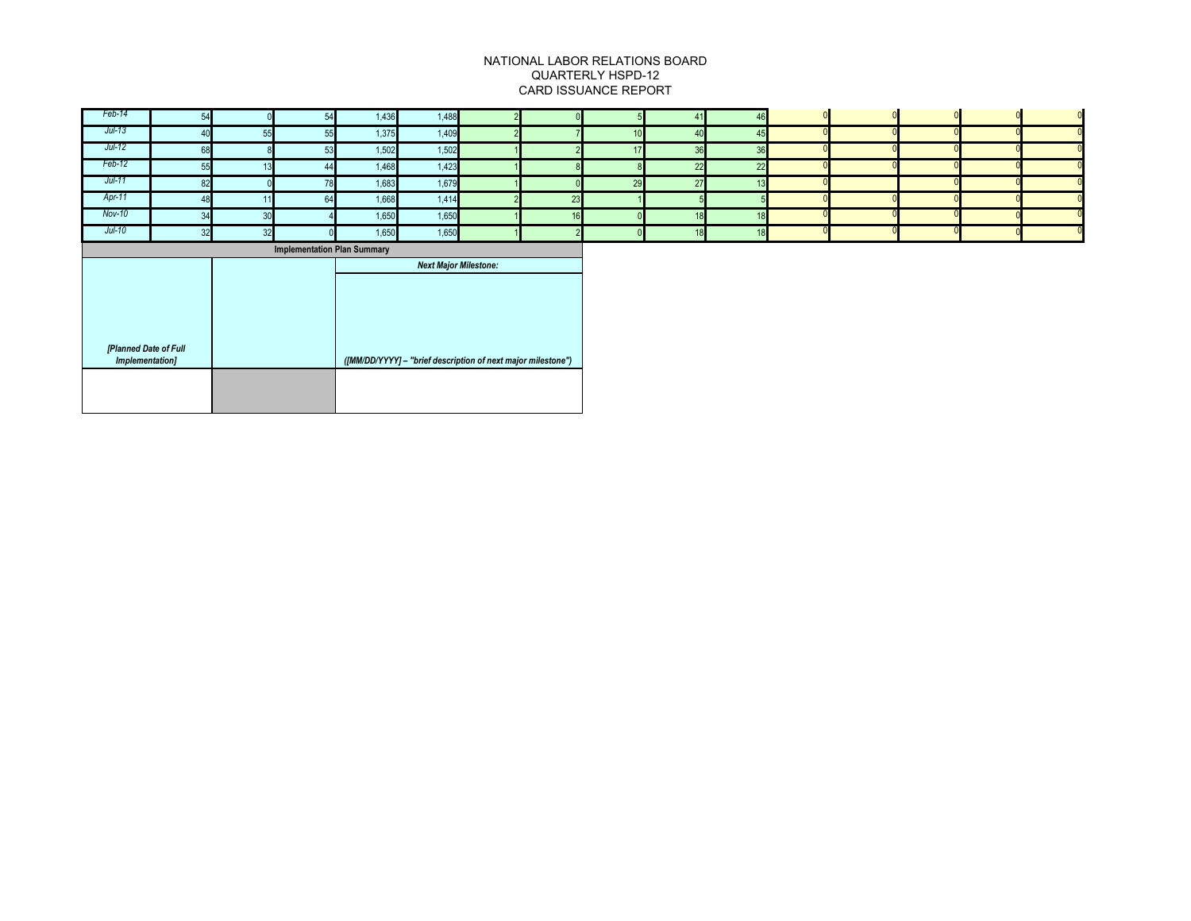## NATIONAL LABOR RELATIONS BOARD QUARTERLY HSPD-12 CARD ISSUANCE REPORT

| Feb-14                             | 54 |    | 54 | 1,436 | 1,488                        |  |    |    | 41 | 46 |  |  |  |
|------------------------------------|----|----|----|-------|------------------------------|--|----|----|----|----|--|--|--|
| Jul-13                             |    | 55 | 55 | 1,375 | 1,409                        |  |    |    | 40 | 45 |  |  |  |
| Jul-12                             | 68 |    | 53 | 1,502 | 1,502                        |  |    | 17 | 36 | 36 |  |  |  |
| Feb-12                             | 55 | 13 | 44 | 1,468 | 1,423                        |  |    |    | 22 | 22 |  |  |  |
| Jul-11                             | 82 |    | 78 | 1,683 | 1,679                        |  |    | 29 | 27 | 12 |  |  |  |
| Apr-11                             | 48 |    | 64 | 1,668 | 1,414                        |  | 23 |    |    |    |  |  |  |
| Nov-10                             | 34 | 30 |    | 1,650 | 1,650                        |  |    |    | 18 |    |  |  |  |
| Jul-10                             | 32 | 32 |    | 1,650 | 1,650                        |  |    |    | 18 | 18 |  |  |  |
| <b>Implementation Plan Summary</b> |    |    |    |       |                              |  |    |    |    |    |  |  |  |
|                                    |    |    |    |       |                              |  |    |    |    |    |  |  |  |
|                                    |    |    |    |       | <b>Next Major Milestone:</b> |  |    |    |    |    |  |  |  |
|                                    |    |    |    |       |                              |  |    |    |    |    |  |  |  |
|                                    |    |    |    |       |                              |  |    |    |    |    |  |  |  |
|                                    |    |    |    |       |                              |  |    |    |    |    |  |  |  |
|                                    |    |    |    |       |                              |  |    |    |    |    |  |  |  |
| [Planned Date of Full              |    |    |    |       |                              |  |    |    |    |    |  |  |  |